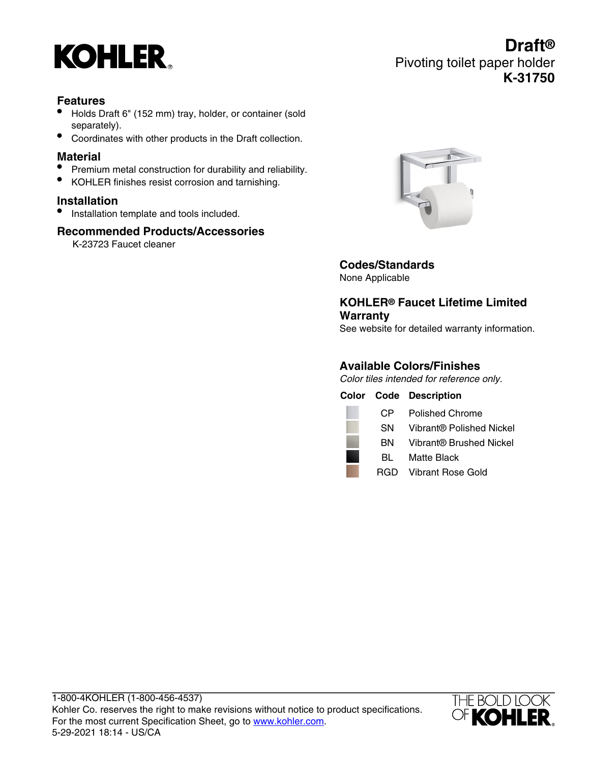

# **Draft®** Pivoting toilet paper holder **K-31750**

# **Features**

- Holds Draft 6" (152 mm) tray, holder, or container (sold separately).
- Coordinates with other products in the Draft collection.

### **Material**

- Premium metal construction for durability and reliability.
- KOHLER finishes resist corrosion and tarnishing.

# **Installation**

**•** Installation template and tools included.

### **Recommended Products/Accessories**

K-23723 Faucet cleaner



# **Codes/Standards**

None Applicable

# **KOHLER® Faucet Lifetime Limited Warranty**

See website for detailed warranty information.

# **Available Colors/Finishes**

Color tiles intended for reference only.

|      | <b>Color Code Description</b> |
|------|-------------------------------|
| CP.  | Polished Chrome               |
| SN.  | Vibrant® Polished Nickel      |
| BN - | Vibrant® Brushed Nickel       |
| BL.  | Matte Black                   |
|      | RGD Vibrant Rose Gold         |